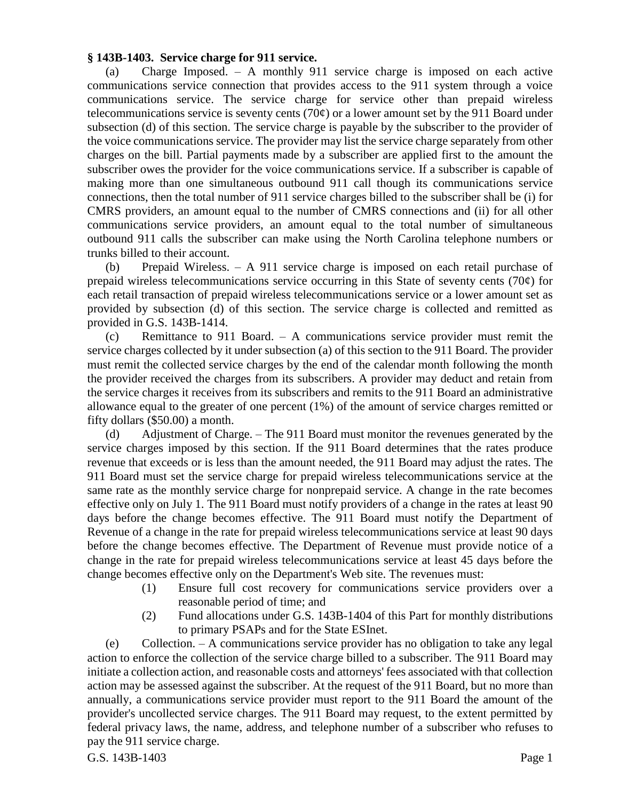## **§ 143B-1403. Service charge for 911 service.**

(a) Charge Imposed. – A monthly 911 service charge is imposed on each active communications service connection that provides access to the 911 system through a voice communications service. The service charge for service other than prepaid wireless telecommunications service is seventy cents (70 $\varphi$ ) or a lower amount set by the 911 Board under subsection (d) of this section. The service charge is payable by the subscriber to the provider of the voice communications service. The provider may list the service charge separately from other charges on the bill. Partial payments made by a subscriber are applied first to the amount the subscriber owes the provider for the voice communications service. If a subscriber is capable of making more than one simultaneous outbound 911 call though its communications service connections, then the total number of 911 service charges billed to the subscriber shall be (i) for CMRS providers, an amount equal to the number of CMRS connections and (ii) for all other communications service providers, an amount equal to the total number of simultaneous outbound 911 calls the subscriber can make using the North Carolina telephone numbers or trunks billed to their account.

(b) Prepaid Wireless. – A 911 service charge is imposed on each retail purchase of prepaid wireless telecommunications service occurring in this State of seventy cents (70¢) for each retail transaction of prepaid wireless telecommunications service or a lower amount set as provided by subsection (d) of this section. The service charge is collected and remitted as provided in G.S. 143B-1414.

(c) Remittance to 911 Board. – A communications service provider must remit the service charges collected by it under subsection (a) of this section to the 911 Board. The provider must remit the collected service charges by the end of the calendar month following the month the provider received the charges from its subscribers. A provider may deduct and retain from the service charges it receives from its subscribers and remits to the 911 Board an administrative allowance equal to the greater of one percent (1%) of the amount of service charges remitted or fifty dollars (\$50.00) a month.

(d) Adjustment of Charge. – The 911 Board must monitor the revenues generated by the service charges imposed by this section. If the 911 Board determines that the rates produce revenue that exceeds or is less than the amount needed, the 911 Board may adjust the rates. The 911 Board must set the service charge for prepaid wireless telecommunications service at the same rate as the monthly service charge for nonprepaid service. A change in the rate becomes effective only on July 1. The 911 Board must notify providers of a change in the rates at least 90 days before the change becomes effective. The 911 Board must notify the Department of Revenue of a change in the rate for prepaid wireless telecommunications service at least 90 days before the change becomes effective. The Department of Revenue must provide notice of a change in the rate for prepaid wireless telecommunications service at least 45 days before the change becomes effective only on the Department's Web site. The revenues must:

- (1) Ensure full cost recovery for communications service providers over a reasonable period of time; and
- (2) Fund allocations under G.S. 143B-1404 of this Part for monthly distributions to primary PSAPs and for the State ESInet.

G.S. 143B-1403 Page 1 (e) Collection. – A communications service provider has no obligation to take any legal action to enforce the collection of the service charge billed to a subscriber. The 911 Board may initiate a collection action, and reasonable costs and attorneys' fees associated with that collection action may be assessed against the subscriber. At the request of the 911 Board, but no more than annually, a communications service provider must report to the 911 Board the amount of the provider's uncollected service charges. The 911 Board may request, to the extent permitted by federal privacy laws, the name, address, and telephone number of a subscriber who refuses to pay the 911 service charge.